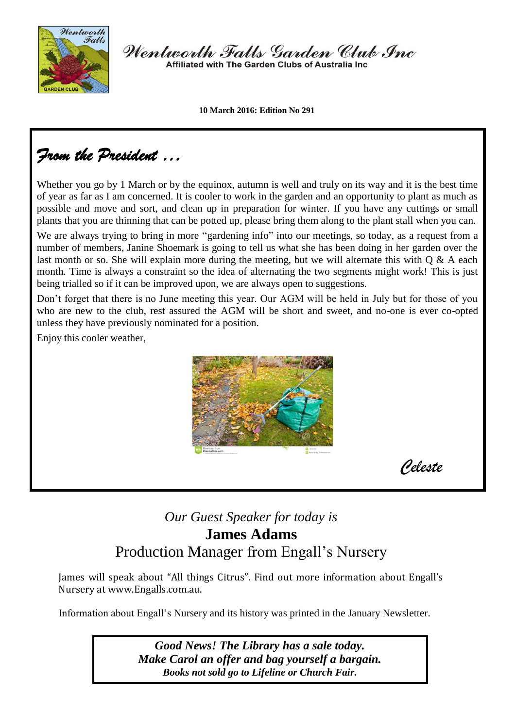

Wentworth Falls Garden Club Inc Affiliated with The Garden Clubs of Australia Inc.

**10 March 2016: Edition No 291**

*From the President …* 

Whether you go by 1 March or by the equinox, autumn is well and truly on its way and it is the best time of year as far as I am concerned. It is cooler to work in the garden and an opportunity to plant as much as possible and move and sort, and clean up in preparation for winter. If you have any cuttings or small plants that you are thinning that can be potted up, please bring them along to the plant stall when you can.

We are always trying to bring in more "gardening info" into our meetings, so today, as a request from a number of members, Janine Shoemark is going to tell us what she has been doing in her garden over the last month or so. She will explain more during the meeting, but we will alternate this with O & A each month. Time is always a constraint so the idea of alternating the two segments might work! This is just being trialled so if it can be improved upon, we are always open to suggestions.

Don't forget that there is no June meeting this year. Our AGM will be held in July but for those of you who are new to the club, rest assured the AGM will be short and sweet, and no-one is ever co-opted unless they have previously nominated for a position.

Enjoy this cooler weather,



 *Celeste*

# *Our Guest Speaker for today is* **James Adams**  Production Manager from Engall's Nursery

James will speak about "All things Citrus". Find out more information about Engall's Nursery at www.Engalls.com.au.

Information about Engall's Nursery and its history was printed in the January Newsletter.

*Good News! The Library has a sale today. Make Carol an offer and bag yourself a bargain. Books not sold go to Lifeline or Church Fair.*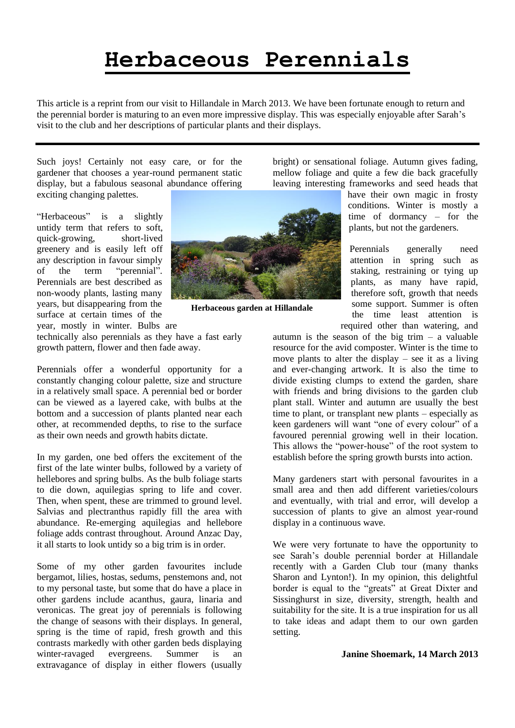# **Herbaceous Perennials**

This article is a reprint from our visit to Hillandale in March 2013. We have been fortunate enough to return and the perennial border is maturing to an even more impressive display. This was especially enjoyable after Sarah's visit to the club and her descriptions of particular plants and their displays.

Such joys! Certainly not easy care, or for the gardener that chooses a year-round permanent static display, but a fabulous seasonal abundance offering exciting changing palettes.

"Herbaceous" is a slightly untidy term that refers to soft, quick-growing, short-lived greenery and is easily left off any description in favour simply of the term "perennial". Perennials are best described as non-woody plants, lasting many years, but disappearing from the surface at certain times of the



**Herbaceous garden at Hillandale**

year, mostly in winter. Bulbs are

technically also perennials as they have a fast early growth pattern, flower and then fade away.

Perennials offer a wonderful opportunity for a constantly changing colour palette, size and structure in a relatively small space. A perennial bed or border can be viewed as a layered cake, with bulbs at the bottom and a succession of plants planted near each other, at recommended depths, to rise to the surface as their own needs and growth habits dictate.

In my garden, one bed offers the excitement of the first of the late winter bulbs, followed by a variety of hellebores and spring bulbs. As the bulb foliage starts to die down, aquilegias spring to life and cover. Then, when spent, these are trimmed to ground level. Salvias and plectranthus rapidly fill the area with abundance. Re-emerging aquilegias and hellebore foliage adds contrast throughout. Around Anzac Day, it all starts to look untidy so a big trim is in order.

Some of my other garden favourites include bergamot, lilies, hostas, sedums, penstemons and, not to my personal taste, but some that do have a place in other gardens include acanthus, gaura, linaria and veronicas. The great joy of perennials is following the change of seasons with their displays. In general, spring is the time of rapid, fresh growth and this contrasts markedly with other garden beds displaying winter-ravaged evergreens. Summer is an extravagance of display in either flowers (usually bright) or sensational foliage. Autumn gives fading, mellow foliage and quite a few die back gracefully leaving interesting frameworks and seed heads that

> have their own magic in frosty conditions. Winter is mostly a time of dormancy – for the plants, but not the gardeners.

Perennials generally need attention in spring such as staking, restraining or tying up plants, as many have rapid, therefore soft, growth that needs some support. Summer is often the time least attention is required other than watering, and

autumn is the season of the big trim  $-$  a valuable resource for the avid composter. Winter is the time to move plants to alter the display – see it as a living and ever-changing artwork. It is also the time to divide existing clumps to extend the garden, share with friends and bring divisions to the garden club plant stall. Winter and autumn are usually the best time to plant, or transplant new plants – especially as keen gardeners will want "one of every colour" of a favoured perennial growing well in their location. This allows the "power-house" of the root system to establish before the spring growth bursts into action.

Many gardeners start with personal favourites in a small area and then add different varieties/colours and eventually, with trial and error, will develop a succession of plants to give an almost year-round display in a continuous wave.

We were very fortunate to have the opportunity to see Sarah's double perennial border at Hillandale recently with a Garden Club tour (many thanks Sharon and Lynton!). In my opinion, this delightful border is equal to the "greats" at Great Dixter and Sissinghurst in size, diversity, strength, health and suitability for the site. It is a true inspiration for us all to take ideas and adapt them to our own garden setting.

#### **Janine Shoemark, 14 March 2013**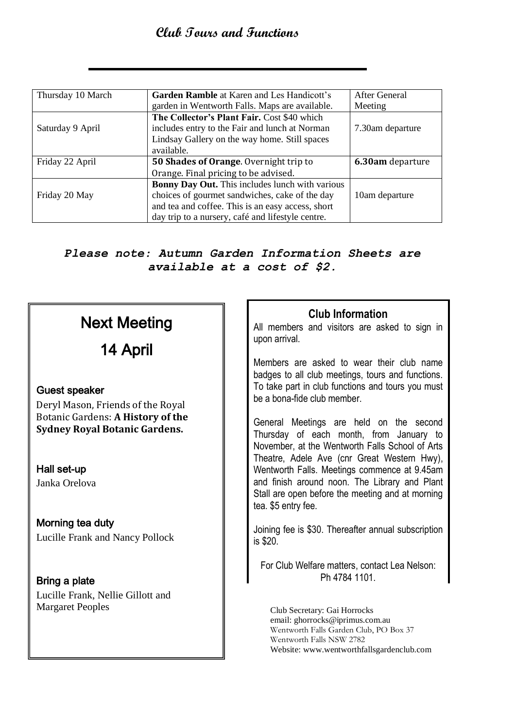## **Club Tours and Functions**

| Thursday 10 March | <b>Garden Ramble</b> at Karen and Les Handicott's | After General    |
|-------------------|---------------------------------------------------|------------------|
|                   | garden in Wentworth Falls. Maps are available.    | Meeting          |
|                   | The Collector's Plant Fair. Cost \$40 which       |                  |
| Saturday 9 April  | includes entry to the Fair and lunch at Norman    | 7.30am departure |
|                   | Lindsay Gallery on the way home. Still spaces     |                  |
|                   | available.                                        |                  |
| Friday 22 April   | 50 Shades of Orange. Overnight trip to            | 6.30am departure |
|                   | Orange. Final pricing to be advised.              |                  |
|                   | Bonny Day Out. This includes lunch with various   |                  |
| Friday 20 May     | choices of gourmet sandwiches, cake of the day    | 10am departure   |
|                   | and tea and coffee. This is an easy access, short |                  |
|                   | day trip to a nursery, café and lifestyle centre. |                  |

## *Please note: Autumn Garden Information Sheets are available at a cost of \$2.*

| <b>Next Meeting</b> |
|---------------------|
|                     |

14 April

#### Guest speaker

Deryl Mason, Friends of the Royal Botanic Gardens: **A History of the Sydney Royal Botanic Gardens.**

Hall set-up Janka Orelova

Morning tea duty

Lucille Frank and Nancy Pollock

Bring a plate Lucille Frank, Nellie Gillott and Margaret Peoples

### **Club Information**

All members and visitors are asked to sign in upon arrival.

Members are asked to wear their club name badges to all club meetings, tours and functions. To take part in club functions and tours you must be a bona-fide club member.

General Meetings are held on the second Thursday of each month, from January to November, at the Wentworth Falls School of Arts Theatre, Adele Ave (cnr Great Western Hwy), Wentworth Falls. Meetings commence at 9.45am and finish around noon. The Library and Plant Stall are open before the meeting and at morning tea. \$5 entry fee.

Joining fee is \$30. Thereafter annual subscription is \$20.

For Club Welfare matters, contact Lea Nelson: Ph 4784 1101.

Club Secretary: Gai Horrocks email: ghorrocks@iprimus.com.au Wentworth Falls Garden Club, PO Box 37 Wentworth Falls NSW 2782 Website: www.wentworthfallsgardenclub.com